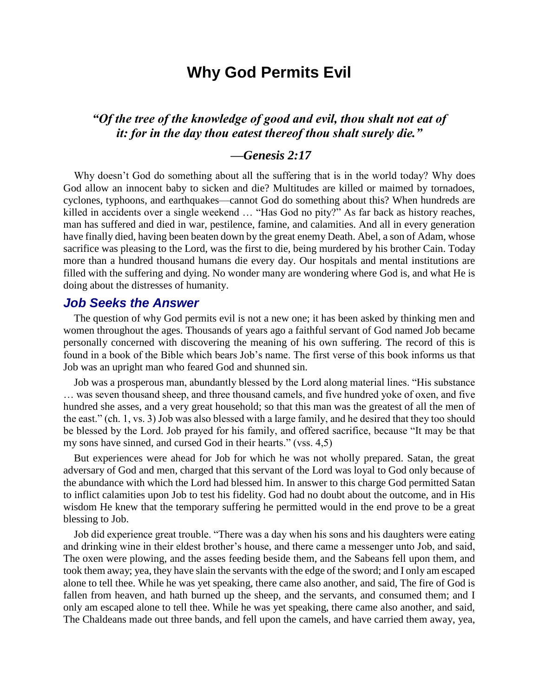# **Why God Permits Evil**

# *"Of the tree of the knowledge of good and evil, thou shalt not eat of it: for in the day thou eatest thereof thou shalt surely die."*

# *—Genesis 2:17*

Why doesn't God do something about all the suffering that is in the world today? Why does God allow an innocent baby to sicken and die? Multitudes are killed or maimed by tornadoes, cyclones, typhoons, and earthquakes—cannot God do something about this? When hundreds are killed in accidents over a single weekend ... "Has God no pity?" As far back as history reaches, man has suffered and died in war, pestilence, famine, and calamities. And all in every generation have finally died, having been beaten down by the great enemy Death. Abel, a son of Adam, whose sacrifice was pleasing to the Lord, was the first to die, being murdered by his brother Cain. Today more than a hundred thousand humans die every day. Our hospitals and mental institutions are filled with the suffering and dying. No wonder many are wondering where God is, and what He is doing about the distresses of humanity.

#### *Job Seeks the Answer*

The question of why God permits evil is not a new one; it has been asked by thinking men and women throughout the ages. Thousands of years ago a faithful servant of God named Job became personally concerned with discovering the meaning of his own suffering. The record of this is found in a book of the Bible which bears Job's name. The first verse of this book informs us that Job was an upright man who feared God and shunned sin.

Job was a prosperous man, abundantly blessed by the Lord along material lines. "His substance … was seven thousand sheep, and three thousand camels, and five hundred yoke of oxen, and five hundred she asses, and a very great household; so that this man was the greatest of all the men of the east." (ch. 1, vs. 3) Job was also blessed with a large family, and he desired that they too should be blessed by the Lord. Job prayed for his family, and offered sacrifice, because "It may be that my sons have sinned, and cursed God in their hearts." (vss. 4,5)

But experiences were ahead for Job for which he was not wholly prepared. Satan, the great adversary of God and men, charged that this servant of the Lord was loyal to God only because of the abundance with which the Lord had blessed him. In answer to this charge God permitted Satan to inflict calamities upon Job to test his fidelity. God had no doubt about the outcome, and in His wisdom He knew that the temporary suffering he permitted would in the end prove to be a great blessing to Job.

Job did experience great trouble. "There was a day when his sons and his daughters were eating and drinking wine in their eldest brother's house, and there came a messenger unto Job, and said, The oxen were plowing, and the asses feeding beside them, and the Sabeans fell upon them, and took them away; yea, they have slain the servants with the edge of the sword; and I only am escaped alone to tell thee. While he was yet speaking, there came also another, and said, The fire of God is fallen from heaven, and hath burned up the sheep, and the servants, and consumed them; and I only am escaped alone to tell thee. While he was yet speaking, there came also another, and said, The Chaldeans made out three bands, and fell upon the camels, and have carried them away, yea,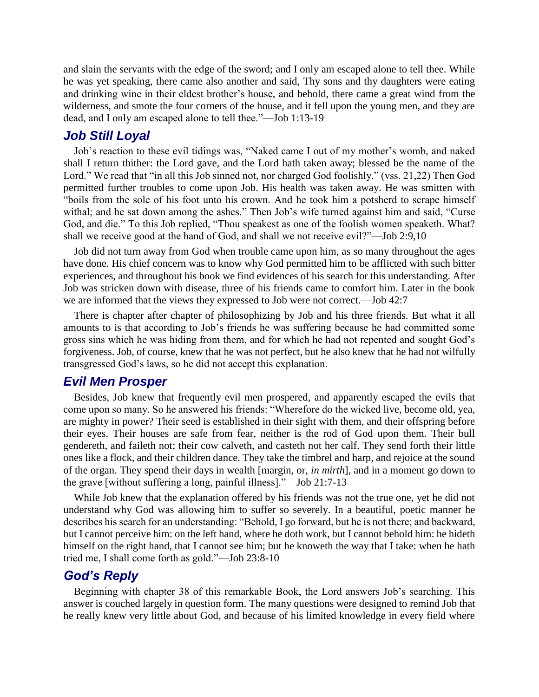and slain the servants with the edge of the sword; and I only am escaped alone to tell thee. While he was yet speaking, there came also another and said, Thy sons and thy daughters were eating and drinking wine in their eldest brother's house, and behold, there came a great wind from the wilderness, and smote the four corners of the house, and it fell upon the young men, and they are dead, and I only am escaped alone to tell thee."—Job 1:13-19

# *Job Still Loyal*

Job's reaction to these evil tidings was, "Naked came I out of my mother's womb, and naked shall I return thither: the Lord gave, and the Lord hath taken away; blessed be the name of the Lord." We read that "in all this Job sinned not, nor charged God foolishly." (vss. 21,22) Then God permitted further troubles to come upon Job. His health was taken away. He was smitten with "boils from the sole of his foot unto his crown. And he took him a potsherd to scrape himself withal; and he sat down among the ashes." Then Job's wife turned against him and said, "Curse God, and die." To this Job replied, "Thou speakest as one of the foolish women speaketh. What? shall we receive good at the hand of God, and shall we not receive evil?"—Job 2:9,10

Job did not turn away from God when trouble came upon him, as so many throughout the ages have done. His chief concern was to know why God permitted him to be afflicted with such bitter experiences, and throughout his book we find evidences of his search for this understanding. After Job was stricken down with disease, three of his friends came to comfort him. Later in the book we are informed that the views they expressed to Job were not correct.—Job 42:7

There is chapter after chapter of philosophizing by Job and his three friends. But what it all amounts to is that according to Job's friends he was suffering because he had committed some gross sins which he was hiding from them, and for which he had not repented and sought God's forgiveness. Job, of course, knew that he was not perfect, but he also knew that he had not wilfully transgressed God's laws, so he did not accept this explanation.

### *Evil Men Prosper*

Besides, Job knew that frequently evil men prospered, and apparently escaped the evils that come upon so many. So he answered his friends: "Wherefore do the wicked live, become old, yea, are mighty in power? Their seed is established in their sight with them, and their offspring before their eyes. Their houses are safe from fear, neither is the rod of God upon them. Their bull gendereth, and faileth not; their cow calveth, and casteth not her calf. They send forth their little ones like a flock, and their children dance. They take the timbrel and harp, and rejoice at the sound of the organ. They spend their days in wealth [margin, or, *in mirth*], and in a moment go down to the grave [without suffering a long, painful illness]."—Job 21:7-13

While Job knew that the explanation offered by his friends was not the true one, yet he did not understand why God was allowing him to suffer so severely. In a beautiful, poetic manner he describes his search for an understanding: "Behold, I go forward, but he is not there; and backward, but I cannot perceive him: on the left hand, where he doth work, but I cannot behold him: he hideth himself on the right hand, that I cannot see him; but he knoweth the way that I take: when he hath tried me, I shall come forth as gold."—Job 23:8-10

## *God's Reply*

Beginning with chapter 38 of this remarkable Book, the Lord answers Job's searching. This answer is couched largely in question form. The many questions were designed to remind Job that he really knew very little about God, and because of his limited knowledge in every field where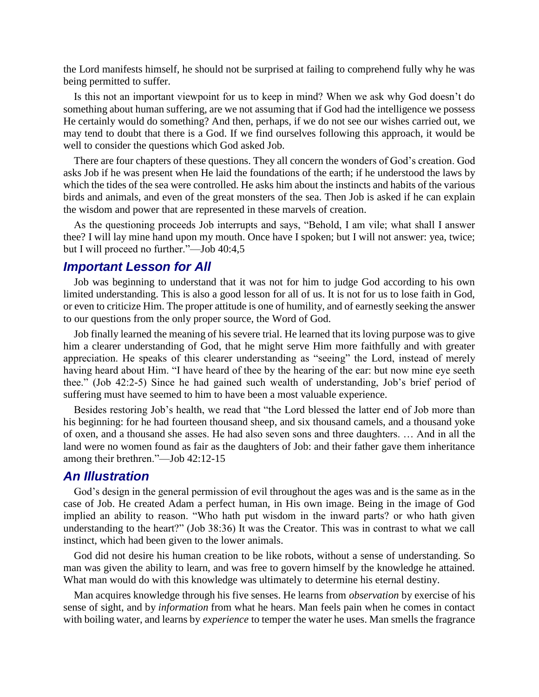the Lord manifests himself, he should not be surprised at failing to comprehend fully why he was being permitted to suffer.

Is this not an important viewpoint for us to keep in mind? When we ask why God doesn't do something about human suffering, are we not assuming that if God had the intelligence we possess He certainly would do something? And then, perhaps, if we do not see our wishes carried out, we may tend to doubt that there is a God. If we find ourselves following this approach, it would be well to consider the questions which God asked Job.

There are four chapters of these questions. They all concern the wonders of God's creation. God asks Job if he was present when He laid the foundations of the earth; if he understood the laws by which the tides of the sea were controlled. He asks him about the instincts and habits of the various birds and animals, and even of the great monsters of the sea. Then Job is asked if he can explain the wisdom and power that are represented in these marvels of creation.

As the questioning proceeds Job interrupts and says, "Behold, I am vile; what shall I answer thee? I will lay mine hand upon my mouth. Once have I spoken; but I will not answer: yea, twice; but I will proceed no further."—Job 40:4,5

### *Important Lesson for All*

Job was beginning to understand that it was not for him to judge God according to his own limited understanding. This is also a good lesson for all of us. It is not for us to lose faith in God, or even to criticize Him. The proper attitude is one of humility, and of earnestly seeking the answer to our questions from the only proper source, the Word of God.

Job finally learned the meaning of his severe trial. He learned that its loving purpose was to give him a clearer understanding of God, that he might serve Him more faithfully and with greater appreciation. He speaks of this clearer understanding as "seeing" the Lord, instead of merely having heard about Him. "I have heard of thee by the hearing of the ear: but now mine eye seeth thee." (Job 42:2-5) Since he had gained such wealth of understanding, Job's brief period of suffering must have seemed to him to have been a most valuable experience.

Besides restoring Job's health, we read that "the Lord blessed the latter end of Job more than his beginning: for he had fourteen thousand sheep, and six thousand camels, and a thousand yoke of oxen, and a thousand she asses. He had also seven sons and three daughters. … And in all the land were no women found as fair as the daughters of Job: and their father gave them inheritance among their brethren."—Job 42:12-15

#### *An Illustration*

God's design in the general permission of evil throughout the ages was and is the same as in the case of Job. He created Adam a perfect human, in His own image. Being in the image of God implied an ability to reason. "Who hath put wisdom in the inward parts? or who hath given understanding to the heart?" (Job 38:36) It was the Creator. This was in contrast to what we call instinct, which had been given to the lower animals.

God did not desire his human creation to be like robots, without a sense of understanding. So man was given the ability to learn, and was free to govern himself by the knowledge he attained. What man would do with this knowledge was ultimately to determine his eternal destiny.

Man acquires knowledge through his five senses. He learns from *observation* by exercise of his sense of sight, and by *information* from what he hears. Man feels pain when he comes in contact with boiling water, and learns by *experience* to temper the water he uses. Man smells the fragrance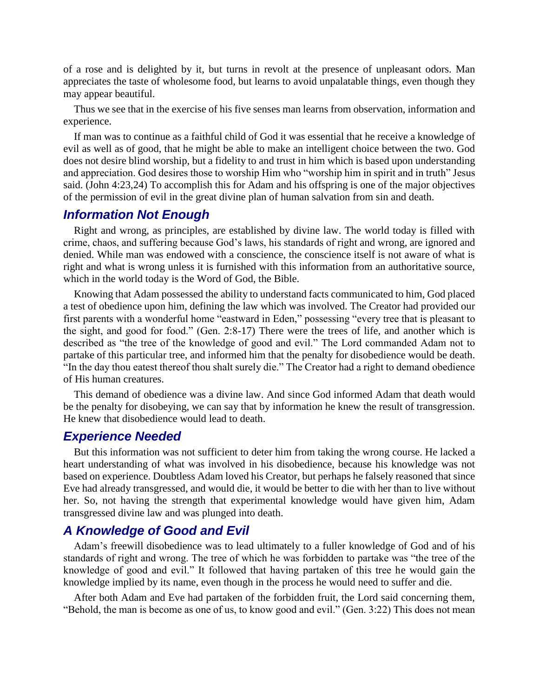of a rose and is delighted by it, but turns in revolt at the presence of unpleasant odors. Man appreciates the taste of wholesome food, but learns to avoid unpalatable things, even though they may appear beautiful.

Thus we see that in the exercise of his five senses man learns from observation, information and experience.

If man was to continue as a faithful child of God it was essential that he receive a knowledge of evil as well as of good, that he might be able to make an intelligent choice between the two. God does not desire blind worship, but a fidelity to and trust in him which is based upon understanding and appreciation. God desires those to worship Him who "worship him in spirit and in truth" Jesus said. (John 4:23,24) To accomplish this for Adam and his offspring is one of the major objectives of the permission of evil in the great divine plan of human salvation from sin and death.

## *Information Not Enough*

Right and wrong, as principles, are established by divine law. The world today is filled with crime, chaos, and suffering because God's laws, his standards of right and wrong, are ignored and denied. While man was endowed with a conscience, the conscience itself is not aware of what is right and what is wrong unless it is furnished with this information from an authoritative source, which in the world today is the Word of God, the Bible.

Knowing that Adam possessed the ability to understand facts communicated to him, God placed a test of obedience upon him, defining the law which was involved. The Creator had provided our first parents with a wonderful home "eastward in Eden," possessing "every tree that is pleasant to the sight, and good for food." (Gen. 2:8-17) There were the trees of life, and another which is described as "the tree of the knowledge of good and evil." The Lord commanded Adam not to partake of this particular tree, and informed him that the penalty for disobedience would be death. "In the day thou eatest thereof thou shalt surely die." The Creator had a right to demand obedience of His human creatures.

This demand of obedience was a divine law. And since God informed Adam that death would be the penalty for disobeying, we can say that by information he knew the result of transgression. He knew that disobedience would lead to death.

#### *Experience Needed*

But this information was not sufficient to deter him from taking the wrong course. He lacked a heart understanding of what was involved in his disobedience, because his knowledge was not based on experience. Doubtless Adam loved his Creator, but perhaps he falsely reasoned that since Eve had already transgressed, and would die, it would be better to die with her than to live without her. So, not having the strength that experimental knowledge would have given him, Adam transgressed divine law and was plunged into death.

#### *A Knowledge of Good and Evil*

Adam's freewill disobedience was to lead ultimately to a fuller knowledge of God and of his standards of right and wrong. The tree of which he was forbidden to partake was "the tree of the knowledge of good and evil." It followed that having partaken of this tree he would gain the knowledge implied by its name, even though in the process he would need to suffer and die.

After both Adam and Eve had partaken of the forbidden fruit, the Lord said concerning them, "Behold, the man is become as one of us, to know good and evil." (Gen. 3:22) This does not mean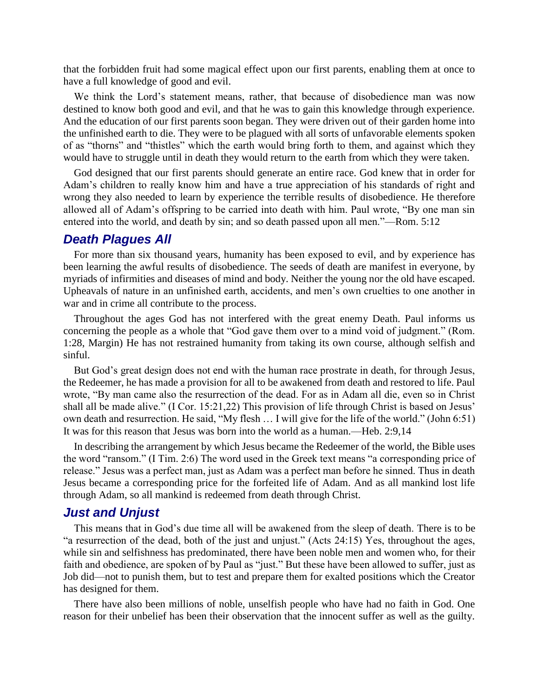that the forbidden fruit had some magical effect upon our first parents, enabling them at once to have a full knowledge of good and evil.

We think the Lord's statement means, rather, that because of disobedience man was now destined to know both good and evil, and that he was to gain this knowledge through experience. And the education of our first parents soon began. They were driven out of their garden home into the unfinished earth to die. They were to be plagued with all sorts of unfavorable elements spoken of as "thorns" and "thistles" which the earth would bring forth to them, and against which they would have to struggle until in death they would return to the earth from which they were taken.

God designed that our first parents should generate an entire race. God knew that in order for Adam's children to really know him and have a true appreciation of his standards of right and wrong they also needed to learn by experience the terrible results of disobedience. He therefore allowed all of Adam's offspring to be carried into death with him. Paul wrote, "By one man sin entered into the world, and death by sin; and so death passed upon all men."—Rom. 5:12

#### *Death Plagues All*

For more than six thousand years, humanity has been exposed to evil, and by experience has been learning the awful results of disobedience. The seeds of death are manifest in everyone, by myriads of infirmities and diseases of mind and body. Neither the young nor the old have escaped. Upheavals of nature in an unfinished earth, accidents, and men's own cruelties to one another in war and in crime all contribute to the process.

Throughout the ages God has not interfered with the great enemy Death. Paul informs us concerning the people as a whole that "God gave them over to a mind void of judgment." (Rom. 1:28, Margin) He has not restrained humanity from taking its own course, although selfish and sinful.

But God's great design does not end with the human race prostrate in death, for through Jesus, the Redeemer, he has made a provision for all to be awakened from death and restored to life. Paul wrote, "By man came also the resurrection of the dead. For as in Adam all die, even so in Christ shall all be made alive." (I Cor. 15:21,22) This provision of life through Christ is based on Jesus' own death and resurrection. He said, "My flesh … I will give for the life of the world." (John 6:51) It was for this reason that Jesus was born into the world as a human.—Heb. 2:9,14

In describing the arrangement by which Jesus became the Redeemer of the world, the Bible uses the word "ransom." (I Tim. 2:6) The word used in the Greek text means "a corresponding price of release." Jesus was a perfect man, just as Adam was a perfect man before he sinned. Thus in death Jesus became a corresponding price for the forfeited life of Adam. And as all mankind lost life through Adam, so all mankind is redeemed from death through Christ.

## *Just and Unjust*

This means that in God's due time all will be awakened from the sleep of death. There is to be "a resurrection of the dead, both of the just and unjust." (Acts 24:15) Yes, throughout the ages, while sin and selfishness has predominated, there have been noble men and women who, for their faith and obedience, are spoken of by Paul as "just." But these have been allowed to suffer, just as Job did—not to punish them, but to test and prepare them for exalted positions which the Creator has designed for them.

There have also been millions of noble, unselfish people who have had no faith in God. One reason for their unbelief has been their observation that the innocent suffer as well as the guilty.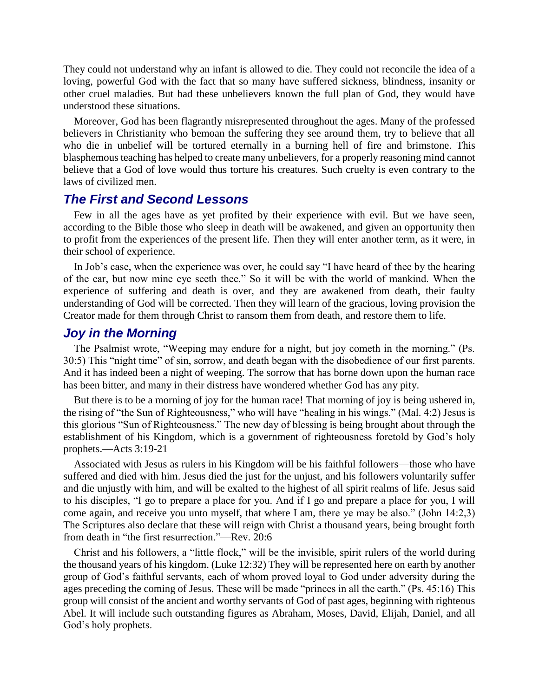They could not understand why an infant is allowed to die. They could not reconcile the idea of a loving, powerful God with the fact that so many have suffered sickness, blindness, insanity or other cruel maladies. But had these unbelievers known the full plan of God, they would have understood these situations.

Moreover, God has been flagrantly misrepresented throughout the ages. Many of the professed believers in Christianity who bemoan the suffering they see around them, try to believe that all who die in unbelief will be tortured eternally in a burning hell of fire and brimstone. This blasphemous teaching has helped to create many unbelievers, for a properly reasoning mind cannot believe that a God of love would thus torture his creatures. Such cruelty is even contrary to the laws of civilized men.

### *The First and Second Lessons*

Few in all the ages have as yet profited by their experience with evil. But we have seen, according to the Bible those who sleep in death will be awakened, and given an opportunity then to profit from the experiences of the present life. Then they will enter another term, as it were, in their school of experience.

In Job's case, when the experience was over, he could say "I have heard of thee by the hearing of the ear, but now mine eye seeth thee." So it will be with the world of mankind. When the experience of suffering and death is over, and they are awakened from death, their faulty understanding of God will be corrected. Then they will learn of the gracious, loving provision the Creator made for them through Christ to ransom them from death, and restore them to life.

# *Joy in the Morning*

The Psalmist wrote, "Weeping may endure for a night, but joy cometh in the morning." (Ps. 30:5) This "night time" of sin, sorrow, and death began with the disobedience of our first parents. And it has indeed been a night of weeping. The sorrow that has borne down upon the human race has been bitter, and many in their distress have wondered whether God has any pity.

But there is to be a morning of joy for the human race! That morning of joy is being ushered in, the rising of "the Sun of Righteousness," who will have "healing in his wings." (Mal. 4:2) Jesus is this glorious "Sun of Righteousness." The new day of blessing is being brought about through the establishment of his Kingdom, which is a government of righteousness foretold by God's holy prophets.—Acts 3:19-21

Associated with Jesus as rulers in his Kingdom will be his faithful followers—those who have suffered and died with him. Jesus died the just for the unjust, and his followers voluntarily suffer and die unjustly with him, and will be exalted to the highest of all spirit realms of life. Jesus said to his disciples, "I go to prepare a place for you. And if I go and prepare a place for you, I will come again, and receive you unto myself, that where I am, there ye may be also." (John 14:2,3) The Scriptures also declare that these will reign with Christ a thousand years, being brought forth from death in "the first resurrection."—Rev. 20:6

Christ and his followers, a "little flock," will be the invisible, spirit rulers of the world during the thousand years of his kingdom. (Luke 12:32) They will be represented here on earth by another group of God's faithful servants, each of whom proved loyal to God under adversity during the ages preceding the coming of Jesus. These will be made "princes in all the earth." (Ps. 45:16) This group will consist of the ancient and worthy servants of God of past ages, beginning with righteous Abel. It will include such outstanding figures as Abraham, Moses, David, Elijah, Daniel, and all God's holy prophets.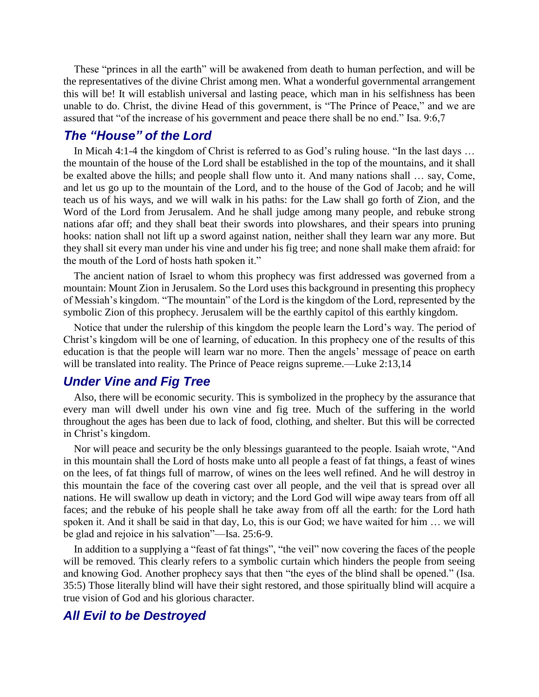These "princes in all the earth" will be awakened from death to human perfection, and will be the representatives of the divine Christ among men. What a wonderful governmental arrangement this will be! It will establish universal and lasting peace, which man in his selfishness has been unable to do. Christ, the divine Head of this government, is "The Prince of Peace," and we are assured that "of the increase of his government and peace there shall be no end." Isa. 9:6,7

# *The "House" of the Lord*

In Micah 4:1-4 the kingdom of Christ is referred to as God's ruling house. "In the last days … the mountain of the house of the Lord shall be established in the top of the mountains, and it shall be exalted above the hills; and people shall flow unto it. And many nations shall … say, Come, and let us go up to the mountain of the Lord, and to the house of the God of Jacob; and he will teach us of his ways, and we will walk in his paths: for the Law shall go forth of Zion, and the Word of the Lord from Jerusalem. And he shall judge among many people, and rebuke strong nations afar off; and they shall beat their swords into plowshares, and their spears into pruning hooks: nation shall not lift up a sword against nation, neither shall they learn war any more. But they shall sit every man under his vine and under his fig tree; and none shall make them afraid: for the mouth of the Lord of hosts hath spoken it."

The ancient nation of Israel to whom this prophecy was first addressed was governed from a mountain: Mount Zion in Jerusalem. So the Lord uses this background in presenting this prophecy of Messiah's kingdom. "The mountain" of the Lord is the kingdom of the Lord, represented by the symbolic Zion of this prophecy. Jerusalem will be the earthly capitol of this earthly kingdom.

Notice that under the rulership of this kingdom the people learn the Lord's way. The period of Christ's kingdom will be one of learning, of education. In this prophecy one of the results of this education is that the people will learn war no more. Then the angels' message of peace on earth will be translated into reality. The Prince of Peace reigns supreme.—Luke 2:13,14

# *Under Vine and Fig Tree*

Also, there will be economic security. This is symbolized in the prophecy by the assurance that every man will dwell under his own vine and fig tree. Much of the suffering in the world throughout the ages has been due to lack of food, clothing, and shelter. But this will be corrected in Christ's kingdom.

Nor will peace and security be the only blessings guaranteed to the people. Isaiah wrote, "And in this mountain shall the Lord of hosts make unto all people a feast of fat things, a feast of wines on the lees, of fat things full of marrow, of wines on the lees well refined. And he will destroy in this mountain the face of the covering cast over all people, and the veil that is spread over all nations. He will swallow up death in victory; and the Lord God will wipe away tears from off all faces; and the rebuke of his people shall he take away from off all the earth: for the Lord hath spoken it. And it shall be said in that day, Lo, this is our God; we have waited for him … we will be glad and rejoice in his salvation"—Isa. 25:6-9.

In addition to a supplying a "feast of fat things", "the veil" now covering the faces of the people will be removed. This clearly refers to a symbolic curtain which hinders the people from seeing and knowing God. Another prophecy says that then "the eyes of the blind shall be opened." (Isa. 35:5) Those literally blind will have their sight restored, and those spiritually blind will acquire a true vision of God and his glorious character.

### *All Evil to be Destroyed*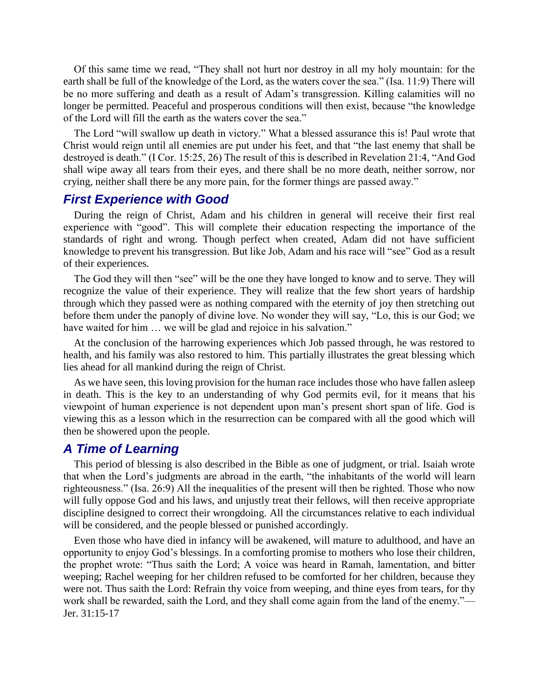Of this same time we read, "They shall not hurt nor destroy in all my holy mountain: for the earth shall be full of the knowledge of the Lord, as the waters cover the sea." (Isa. 11:9) There will be no more suffering and death as a result of Adam's transgression. Killing calamities will no longer be permitted. Peaceful and prosperous conditions will then exist, because "the knowledge of the Lord will fill the earth as the waters cover the sea."

The Lord "will swallow up death in victory." What a blessed assurance this is! Paul wrote that Christ would reign until all enemies are put under his feet, and that "the last enemy that shall be destroyed is death." (I Cor. 15:25, 26) The result of this is described in Revelation 21:4, "And God shall wipe away all tears from their eyes, and there shall be no more death, neither sorrow, nor crying, neither shall there be any more pain, for the former things are passed away."

### *First Experience with Good*

During the reign of Christ, Adam and his children in general will receive their first real experience with "good". This will complete their education respecting the importance of the standards of right and wrong. Though perfect when created, Adam did not have sufficient knowledge to prevent his transgression. But like Job, Adam and his race will "see" God as a result of their experiences.

The God they will then "see" will be the one they have longed to know and to serve. They will recognize the value of their experience. They will realize that the few short years of hardship through which they passed were as nothing compared with the eternity of joy then stretching out before them under the panoply of divine love. No wonder they will say, "Lo, this is our God; we have waited for him ... we will be glad and rejoice in his salvation."

At the conclusion of the harrowing experiences which Job passed through, he was restored to health, and his family was also restored to him. This partially illustrates the great blessing which lies ahead for all mankind during the reign of Christ.

As we have seen, this loving provision for the human race includes those who have fallen asleep in death. This is the key to an understanding of why God permits evil, for it means that his viewpoint of human experience is not dependent upon man's present short span of life. God is viewing this as a lesson which in the resurrection can be compared with all the good which will then be showered upon the people.

# *A Time of Learning*

This period of blessing is also described in the Bible as one of judgment, or trial. Isaiah wrote that when the Lord's judgments are abroad in the earth, "the inhabitants of the world will learn righteousness." (Isa. 26:9) All the inequalities of the present will then be righted. Those who now will fully oppose God and his laws, and unjustly treat their fellows, will then receive appropriate discipline designed to correct their wrongdoing. All the circumstances relative to each individual will be considered, and the people blessed or punished accordingly.

Even those who have died in infancy will be awakened, will mature to adulthood, and have an opportunity to enjoy God's blessings. In a comforting promise to mothers who lose their children, the prophet wrote: "Thus saith the Lord; A voice was heard in Ramah, lamentation, and bitter weeping; Rachel weeping for her children refused to be comforted for her children, because they were not. Thus saith the Lord: Refrain thy voice from weeping, and thine eyes from tears, for thy work shall be rewarded, saith the Lord, and they shall come again from the land of the enemy."— Jer. 31:15-17